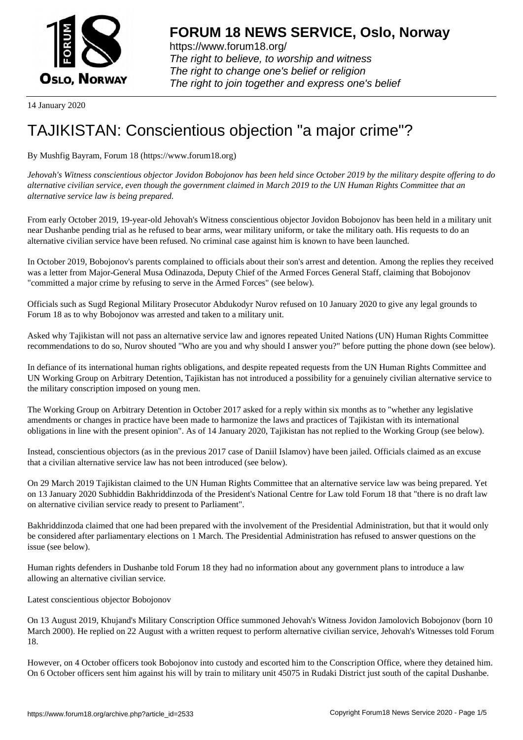

https://www.forum18.org/ The right to believe, to worship and witness The right to change one's belief or religion [The right to join together a](https://www.forum18.org/)nd express one's belief

14 January 2020

## [TAJIKISTAN: C](https://www.forum18.org)onscientious objection "a major crime"?

By Mushfig Bayram, Forum 18 (https://www.forum18.org)

*Jehovah's Witness conscientious objector Jovidon Bobojonov has been held since October 2019 by the military despite offering to do alternative civilian service, even though the government claimed in March 2019 to the UN Human Rights Committee that an alternative service law is being prepared.*

From early October 2019, 19-year-old Jehovah's Witness conscientious objector Jovidon Bobojonov has been held in a military unit near Dushanbe pending trial as he refused to bear arms, wear military uniform, or take the military oath. His requests to do an alternative civilian service have been refused. No criminal case against him is known to have been launched.

In October 2019, Bobojonov's parents complained to officials about their son's arrest and detention. Among the replies they received was a letter from Major-General Musa Odinazoda, Deputy Chief of the Armed Forces General Staff, claiming that Bobojonov "committed a major crime by refusing to serve in the Armed Forces" (see below).

Officials such as Sugd Regional Military Prosecutor Abdukodyr Nurov refused on 10 January 2020 to give any legal grounds to Forum 18 as to why Bobojonov was arrested and taken to a military unit.

Asked why Tajikistan will not pass an alternative service law and ignores repeated United Nations (UN) Human Rights Committee recommendations to do so, Nurov shouted "Who are you and why should I answer you?" before putting the phone down (see below).

In defiance of its international human rights obligations, and despite repeated requests from the UN Human Rights Committee and UN Working Group on Arbitrary Detention, Tajikistan has not introduced a possibility for a genuinely civilian alternative service to the military conscription imposed on young men.

The Working Group on Arbitrary Detention in October 2017 asked for a reply within six months as to "whether any legislative amendments or changes in practice have been made to harmonize the laws and practices of Tajikistan with its international obligations in line with the present opinion". As of 14 January 2020, Tajikistan has not replied to the Working Group (see below).

Instead, conscientious objectors (as in the previous 2017 case of Daniil Islamov) have been jailed. Officials claimed as an excuse that a civilian alternative service law has not been introduced (see below).

On 29 March 2019 Tajikistan claimed to the UN Human Rights Committee that an alternative service law was being prepared. Yet on 13 January 2020 Subhiddin Bakhriddinzoda of the President's National Centre for Law told Forum 18 that "there is no draft law on alternative civilian service ready to present to Parliament".

Bakhriddinzoda claimed that one had been prepared with the involvement of the Presidential Administration, but that it would only be considered after parliamentary elections on 1 March. The Presidential Administration has refused to answer questions on the issue (see below).

Human rights defenders in Dushanbe told Forum 18 they had no information about any government plans to introduce a law allowing an alternative civilian service.

Latest conscientious objector Bobojonov

On 13 August 2019, Khujand's Military Conscription Office summoned Jehovah's Witness Jovidon Jamolovich Bobojonov (born 10 March 2000). He replied on 22 August with a written request to perform alternative civilian service, Jehovah's Witnesses told Forum 18.

However, on 4 October officers took Bobojonov into custody and escorted him to the Conscription Office, where they detained him. On 6 October officers sent him against his will by train to military unit 45075 in Rudaki District just south of the capital Dushanbe.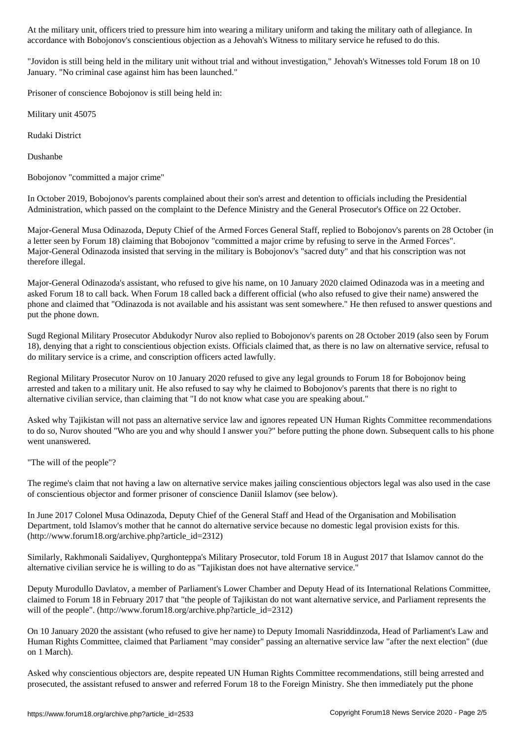accordance with Bobojonov's conscientious objection as a Jehovah's Witness to military service he refused to do this.

"Jovidon is still being held in the military unit without trial and without investigation," Jehovah's Witnesses told Forum 18 on 10 January. "No criminal case against him has been launched."

Prisoner of conscience Bobojonov is still being held in:

Military unit 45075

Rudaki District

Dushanbe

Bobojonov "committed a major crime"

In October 2019, Bobojonov's parents complained about their son's arrest and detention to officials including the Presidential Administration, which passed on the complaint to the Defence Ministry and the General Prosecutor's Office on 22 October.

Major-General Musa Odinazoda, Deputy Chief of the Armed Forces General Staff, replied to Bobojonov's parents on 28 October (in a letter seen by Forum 18) claiming that Bobojonov "committed a major crime by refusing to serve in the Armed Forces". Major-General Odinazoda insisted that serving in the military is Bobojonov's "sacred duty" and that his conscription was not therefore illegal.

Major-General Odinazoda's assistant, who refused to give his name, on 10 January 2020 claimed Odinazoda was in a meeting and asked Forum 18 to call back. When Forum 18 called back a different official (who also refused to give their name) answered the phone and claimed that "Odinazoda is not available and his assistant was sent somewhere." He then refused to answer questions and put the phone down.

Sugd Regional Military Prosecutor Abdukodyr Nurov also replied to Bobojonov's parents on 28 October 2019 (also seen by Forum 18), denying that a right to conscientious objection exists. Officials claimed that, as there is no law on alternative service, refusal to do military service is a crime, and conscription officers acted lawfully.

Regional Military Prosecutor Nurov on 10 January 2020 refused to give any legal grounds to Forum 18 for Bobojonov being arrested and taken to a military unit. He also refused to say why he claimed to Bobojonov's parents that there is no right to alternative civilian service, than claiming that "I do not know what case you are speaking about."

Asked why Tajikistan will not pass an alternative service law and ignores repeated UN Human Rights Committee recommendations to do so, Nurov shouted "Who are you and why should I answer you?" before putting the phone down. Subsequent calls to his phone went unanswered.

"The will of the people"?

The regime's claim that not having a law on alternative service makes jailing conscientious objectors legal was also used in the case of conscientious objector and former prisoner of conscience Daniil Islamov (see below).

In June 2017 Colonel Musa Odinazoda, Deputy Chief of the General Staff and Head of the Organisation and Mobilisation Department, told Islamov's mother that he cannot do alternative service because no domestic legal provision exists for this. (http://www.forum18.org/archive.php?article\_id=2312)

Similarly, Rakhmonali Saidaliyev, Qurghonteppa's Military Prosecutor, told Forum 18 in August 2017 that Islamov cannot do the alternative civilian service he is willing to do as "Tajikistan does not have alternative service."

Deputy Murodullo Davlatov, a member of Parliament's Lower Chamber and Deputy Head of its International Relations Committee, claimed to Forum 18 in February 2017 that "the people of Tajikistan do not want alternative service, and Parliament represents the will of the people". (http://www.forum18.org/archive.php?article\_id=2312)

On 10 January 2020 the assistant (who refused to give her name) to Deputy Imomali Nasriddinzoda, Head of Parliament's Law and Human Rights Committee, claimed that Parliament "may consider" passing an alternative service law "after the next election" (due on 1 March).

Asked why conscientious objectors are, despite repeated UN Human Rights Committee recommendations, still being arrested and prosecuted, the assistant refused to answer and referred Forum 18 to the Foreign Ministry. She then immediately put the phone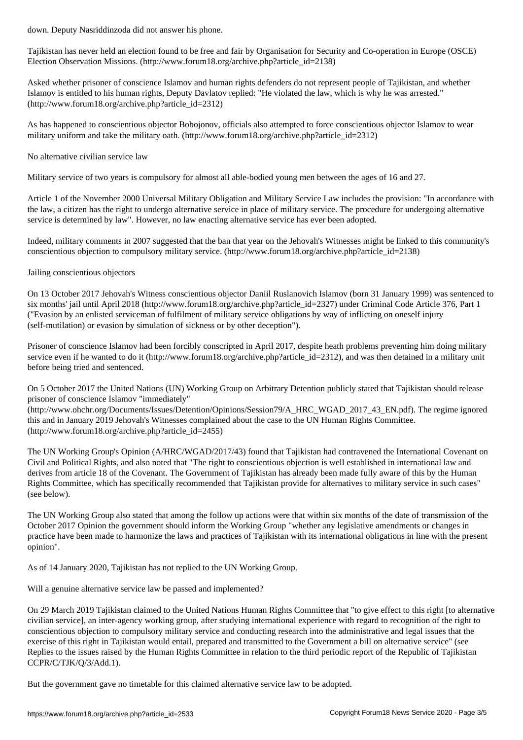Tajikistan has never held an election found to be free and fair by Organisation for Security and Co-operation in Europe (OSCE) Election Observation Missions. (http://www.forum18.org/archive.php?article\_id=2138)

Asked whether prisoner of conscience Islamov and human rights defenders do not represent people of Tajikistan, and whether Islamov is entitled to his human rights, Deputy Davlatov replied: "He violated the law, which is why he was arrested." (http://www.forum18.org/archive.php?article\_id=2312)

As has happened to conscientious objector Bobojonov, officials also attempted to force conscientious objector Islamov to wear military uniform and take the military oath. (http://www.forum18.org/archive.php?article\_id=2312)

No alternative civilian service law

Military service of two years is compulsory for almost all able-bodied young men between the ages of 16 and 27.

Article 1 of the November 2000 Universal Military Obligation and Military Service Law includes the provision: "In accordance with the law, a citizen has the right to undergo alternative service in place of military service. The procedure for undergoing alternative service is determined by law". However, no law enacting alternative service has ever been adopted.

Indeed, military comments in 2007 suggested that the ban that year on the Jehovah's Witnesses might be linked to this community's conscientious objection to compulsory military service. (http://www.forum18.org/archive.php?article\_id=2138)

Jailing conscientious objectors

On 13 October 2017 Jehovah's Witness conscientious objector Daniil Ruslanovich Islamov (born 31 January 1999) was sentenced to six months' jail until April 2018 (http://www.forum18.org/archive.php?article\_id=2327) under Criminal Code Article 376, Part 1 ("Evasion by an enlisted serviceman of fulfilment of military service obligations by way of inflicting on oneself injury (self-mutilation) or evasion by simulation of sickness or by other deception").

Prisoner of conscience Islamov had been forcibly conscripted in April 2017, despite heath problems preventing him doing military service even if he wanted to do it (http://www.forum18.org/archive.php?article\_id=2312), and was then detained in a military unit before being tried and sentenced.

On 5 October 2017 the United Nations (UN) Working Group on Arbitrary Detention publicly stated that Tajikistan should release prisoner of conscience Islamov "immediately"

(http://www.ohchr.org/Documents/Issues/Detention/Opinions/Session79/A\_HRC\_WGAD\_2017\_43\_EN.pdf). The regime ignored this and in January 2019 Jehovah's Witnesses complained about the case to the UN Human Rights Committee. (http://www.forum18.org/archive.php?article\_id=2455)

The UN Working Group's Opinion (A/HRC/WGAD/2017/43) found that Tajikistan had contravened the International Covenant on Civil and Political Rights, and also noted that "The right to conscientious objection is well established in international law and derives from article 18 of the Covenant. The Government of Tajikistan has already been made fully aware of this by the Human Rights Committee, which has specifically recommended that Tajikistan provide for alternatives to military service in such cases" (see below).

The UN Working Group also stated that among the follow up actions were that within six months of the date of transmission of the October 2017 Opinion the government should inform the Working Group "whether any legislative amendments or changes in practice have been made to harmonize the laws and practices of Tajikistan with its international obligations in line with the present opinion".

As of 14 January 2020, Tajikistan has not replied to the UN Working Group.

Will a genuine alternative service law be passed and implemented?

On 29 March 2019 Tajikistan claimed to the United Nations Human Rights Committee that "to give effect to this right [to alternative civilian service], an inter-agency working group, after studying international experience with regard to recognition of the right to conscientious objection to compulsory military service and conducting research into the administrative and legal issues that the exercise of this right in Tajikistan would entail, prepared and transmitted to the Government a bill on alternative service" (see Replies to the issues raised by the Human Rights Committee in relation to the third periodic report of the Republic of Tajikistan CCPR/C/TJK/Q/3/Add.1).

But the government gave no timetable for this claimed alternative service law to be adopted.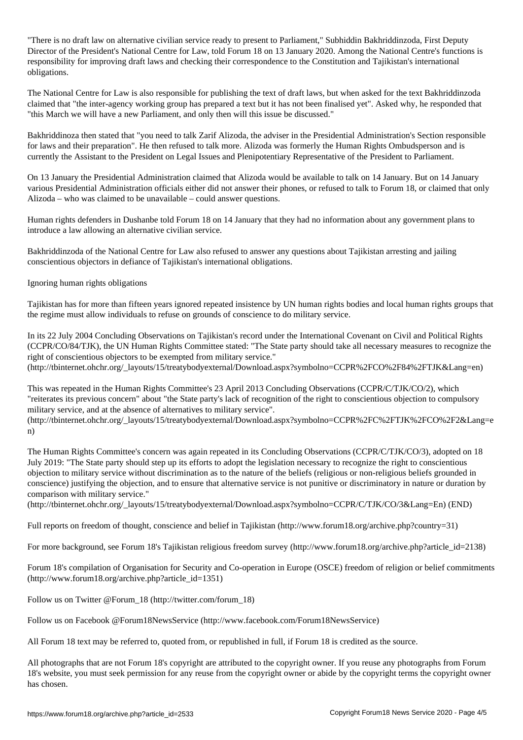"There is no draft law on alternative civilian service ready to present to Parliament," Subhiddin Bakhriddinzoda, First Deputy Director of the President's National Centre for Law, told Forum 18 on 13 January 2020. Among the National Centre's functions is responsibility for improving draft laws and checking their correspondence to the Constitution and Tajikistan's international obligations.

The National Centre for Law is also responsible for publishing the text of draft laws, but when asked for the text Bakhriddinzoda claimed that "the inter-agency working group has prepared a text but it has not been finalised yet". Asked why, he responded that "this March we will have a new Parliament, and only then will this issue be discussed."

Bakhriddinoza then stated that "you need to talk Zarif Alizoda, the adviser in the Presidential Administration's Section responsible for laws and their preparation". He then refused to talk more. Alizoda was formerly the Human Rights Ombudsperson and is currently the Assistant to the President on Legal Issues and Plenipotentiary Representative of the President to Parliament.

On 13 January the Presidential Administration claimed that Alizoda would be available to talk on 14 January. But on 14 January various Presidential Administration officials either did not answer their phones, or refused to talk to Forum 18, or claimed that only Alizoda – who was claimed to be unavailable – could answer questions.

Human rights defenders in Dushanbe told Forum 18 on 14 January that they had no information about any government plans to introduce a law allowing an alternative civilian service.

Bakhriddinzoda of the National Centre for Law also refused to answer any questions about Tajikistan arresting and jailing conscientious objectors in defiance of Tajikistan's international obligations.

Ignoring human rights obligations

Tajikistan has for more than fifteen years ignored repeated insistence by UN human rights bodies and local human rights groups that the regime must allow individuals to refuse on grounds of conscience to do military service.

In its 22 July 2004 Concluding Observations on Tajikistan's record under the International Covenant on Civil and Political Rights (CCPR/CO/84/TJK), the UN Human Rights Committee stated: "The State party should take all necessary measures to recognize the right of conscientious objectors to be exempted from military service." (http://tbinternet.ohchr.org/\_layouts/15/treatybodyexternal/Download.aspx?symbolno=CCPR%2FCO%2F84%2FTJK&Lang=en)

This was repeated in the Human Rights Committee's 23 April 2013 Concluding Observations (CCPR/C/TJK/CO/2), which

"reiterates its previous concern" about "the State party's lack of recognition of the right to conscientious objection to compulsory military service, and at the absence of alternatives to military service".

(http://tbinternet.ohchr.org/\_layouts/15/treatybodyexternal/Download.aspx?symbolno=CCPR%2FC%2FTJK%2FCO%2F2&Lang=e n)

The Human Rights Committee's concern was again repeated in its Concluding Observations (CCPR/C/TJK/CO/3), adopted on 18 July 2019: "The State party should step up its efforts to adopt the legislation necessary to recognize the right to conscientious objection to military service without discrimination as to the nature of the beliefs (religious or non-religious beliefs grounded in conscience) justifying the objection, and to ensure that alternative service is not punitive or discriminatory in nature or duration by comparison with military service."

(http://tbinternet.ohchr.org/\_layouts/15/treatybodyexternal/Download.aspx?symbolno=CCPR/C/TJK/CO/3&Lang=En) (END)

Full reports on freedom of thought, conscience and belief in Tajikistan (http://www.forum18.org/archive.php?country=31)

For more background, see Forum 18's Tajikistan religious freedom survey (http://www.forum18.org/archive.php?article\_id=2138)

Forum 18's compilation of Organisation for Security and Co-operation in Europe (OSCE) freedom of religion or belief commitments (http://www.forum18.org/archive.php?article\_id=1351)

Follow us on Twitter @Forum\_18 (http://twitter.com/forum\_18)

Follow us on Facebook @Forum18NewsService (http://www.facebook.com/Forum18NewsService)

All Forum 18 text may be referred to, quoted from, or republished in full, if Forum 18 is credited as the source.

All photographs that are not Forum 18's copyright are attributed to the copyright owner. If you reuse any photographs from Forum 18's website, you must seek permission for any reuse from the copyright owner or abide by the copyright terms the copyright owner has chosen.